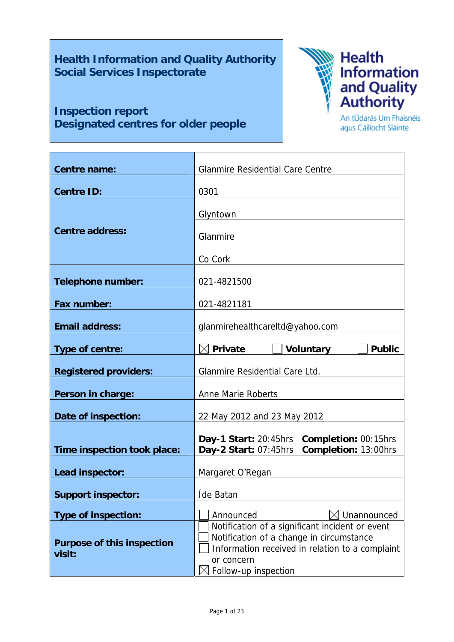**Health Information and Quality Authority Social Services Inspectorate** 

# **Inspection report Designated centres for older people**



An tÚdarás Um Fhaisnéis agus Cáilíocht Sláinte

| Centre name:                                | <b>Glanmire Residential Care Centre</b>                                                                                                                                              |  |  |
|---------------------------------------------|--------------------------------------------------------------------------------------------------------------------------------------------------------------------------------------|--|--|
| <b>Centre ID:</b>                           | 0301                                                                                                                                                                                 |  |  |
| <b>Centre address:</b>                      | Glyntown<br>Glanmire                                                                                                                                                                 |  |  |
|                                             | Co Cork                                                                                                                                                                              |  |  |
| <b>Telephone number:</b>                    | 021-4821500                                                                                                                                                                          |  |  |
| Fax number:                                 | 021-4821181                                                                                                                                                                          |  |  |
| <b>Email address:</b>                       | glanmirehealthcareltd@yahoo.com                                                                                                                                                      |  |  |
| Type of centre:                             | <b>Private</b><br><b>Voluntary</b><br><b>Public</b>                                                                                                                                  |  |  |
| <b>Registered providers:</b>                | Glanmire Residential Care Ltd.                                                                                                                                                       |  |  |
| Person in charge:                           | Anne Marie Roberts                                                                                                                                                                   |  |  |
| Date of inspection:                         | 22 May 2012 and 23 May 2012                                                                                                                                                          |  |  |
| Time inspection took place:                 | Day-1 Start: 20:45hrs Completion: 00:15hrs<br>Completion: 13:00hrs<br>Day-2 Start: 07:45hrs                                                                                          |  |  |
| Lead inspector:                             | Margaret O'Regan                                                                                                                                                                     |  |  |
| <b>Support inspector:</b>                   | Íde Batan                                                                                                                                                                            |  |  |
| <b>Type of inspection:</b>                  | Unannounced<br>Announced                                                                                                                                                             |  |  |
| <b>Purpose of this inspection</b><br>visit: | Notification of a significant incident or event<br>Notification of a change in circumstance<br>Information received in relation to a complaint<br>or concern<br>Follow-up inspection |  |  |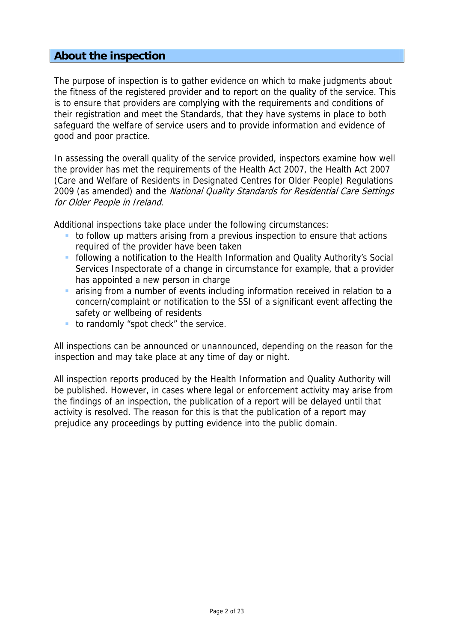# **About the inspection**

The purpose of inspection is to gather evidence on which to make judgments about the fitness of the registered provider and to report on the quality of the service. This is to ensure that providers are complying with the requirements and conditions of their registration and meet the Standards, that they have systems in place to both safeguard the welfare of service users and to provide information and evidence of good and poor practice.

In assessing the overall quality of the service provided, inspectors examine how well the provider has met the requirements of the Health Act 2007, the Health Act 2007 (Care and Welfare of Residents in Designated Centres for Older People) Regulations 2009 (as amended) and the National Quality Standards for Residential Care Settings for Older People in Ireland.

Additional inspections take place under the following circumstances:

- to follow up matters arising from a previous inspection to ensure that actions required of the provider have been taken
- following a notification to the Health Information and Quality Authority's Social Services Inspectorate of a change in circumstance for example, that a provider has appointed a new person in charge
- arising from a number of events including information received in relation to a concern/complaint or notification to the SSI of a significant event affecting the safety or wellbeing of residents
- to randomly "spot check" the service.

All inspections can be announced or unannounced, depending on the reason for the inspection and may take place at any time of day or night.

All inspection reports produced by the Health Information and Quality Authority will be published. However, in cases where legal or enforcement activity may arise from the findings of an inspection, the publication of a report will be delayed until that activity is resolved. The reason for this is that the publication of a report may prejudice any proceedings by putting evidence into the public domain.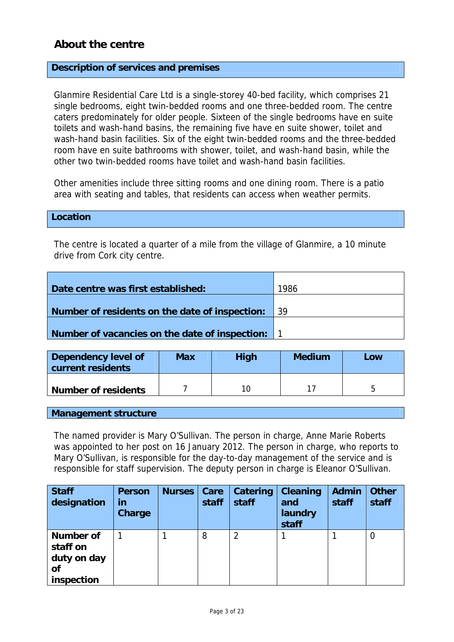# **About the centre**

### **Description of services and premises**

Glanmire Residential Care Ltd is a single-storey 40-bed facility, which comprises 21 single bedrooms, eight twin-bedded rooms and one three-bedded room. The centre caters predominately for older people. Sixteen of the single bedrooms have en suite toilets and wash-hand basins, the remaining five have en suite shower, toilet and wash-hand basin facilities. Six of the eight twin-bedded rooms and the three-bedded room have en suite bathrooms with shower, toilet, and wash-hand basin, while the other two twin-bedded rooms have toilet and wash-hand basin facilities.

Other amenities include three sitting rooms and one dining room. There is a patio area with seating and tables, that residents can access when weather permits.

### **Location**

The centre is located a quarter of a mile from the village of Glanmire, a 10 minute drive from Cork city centre.

| Date centre was first established:               | 1986 |
|--------------------------------------------------|------|
|                                                  |      |
| Number of residents on the date of inspection:   | -39  |
|                                                  |      |
| Number of vacancies on the date of inspection: 1 |      |

| Dependency level of<br>current residents | <b>Max</b> | <b>High</b> | <b>Medium</b> | Low |  |
|------------------------------------------|------------|-------------|---------------|-----|--|
| <b>Number of residents</b>               |            | 10          |               |     |  |

**Management structure** 

The named provider is Mary O'Sullivan. The person in charge, Anne Marie Roberts was appointed to her post on 16 January 2012. The person in charge, who reports to Mary O'Sullivan, is responsible for the day-to-day management of the service and is responsible for staff supervision. The deputy person in charge is Eleanor O'Sullivan.

| <b>Staff</b><br>designation                                            | <b>Person</b><br>in<br><b>Charge</b> | <b>Nurses</b> | Care<br>staff | Catering<br>staff | <b>Cleaning</b><br>and<br>laundry<br>staff | <b>Admin</b><br>staff | <b>Other</b><br>staff |
|------------------------------------------------------------------------|--------------------------------------|---------------|---------------|-------------------|--------------------------------------------|-----------------------|-----------------------|
| <b>Number of</b><br>staff on<br>duty on day<br><b>of</b><br>inspection |                                      |               | 8             | 2                 |                                            |                       | 0                     |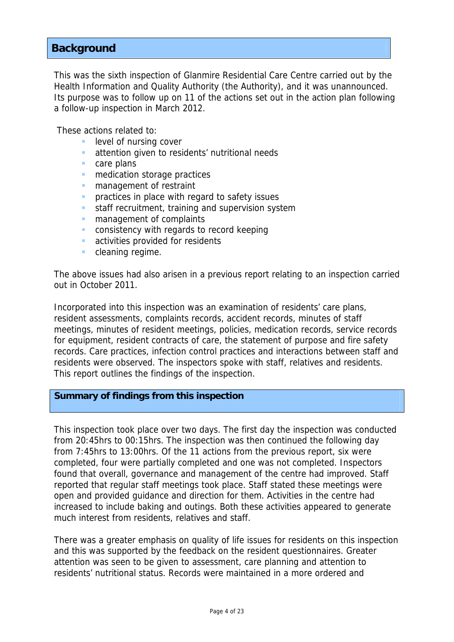# **Background**

This was the sixth inspection of Glanmire Residential Care Centre carried out by the Health Information and Quality Authority (the Authority), and it was unannounced. Its purpose was to follow up on 11 of the actions set out in the action plan following a follow-up inspection in March 2012.

These actions related to:

- level of nursing cover
- attention given to residents' nutritional needs
- care plans
- **n** medication storage practices
- **n** management of restraint
- **practices in place with regard to safety issues**
- staff recruitment, training and supervision system
- **n** management of complaints
- **CONSISTENCY WITH regards to record keeping**
- **activities provided for residents**
- cleaning regime.

The above issues had also arisen in a previous report relating to an inspection carried out in October 2011.

Incorporated into this inspection was an examination of residents' care plans, resident assessments, complaints records, accident records, minutes of staff meetings, minutes of resident meetings, policies, medication records, service records for equipment, resident contracts of care, the statement of purpose and fire safety records. Care practices, infection control practices and interactions between staff and residents were observed. The inspectors spoke with staff, relatives and residents. This report outlines the findings of the inspection.

### **Summary of findings from this inspection**

This inspection took place over two days. The first day the inspection was conducted from 20:45hrs to 00:15hrs. The inspection was then continued the following day from 7:45hrs to 13:00hrs. Of the 11 actions from the previous report, six were completed, four were partially completed and one was not completed. Inspectors found that overall, governance and management of the centre had improved. Staff reported that regular staff meetings took place. Staff stated these meetings were open and provided guidance and direction for them. Activities in the centre had increased to include baking and outings. Both these activities appeared to generate much interest from residents, relatives and staff.

There was a greater emphasis on quality of life issues for residents on this inspection and this was supported by the feedback on the resident questionnaires. Greater attention was seen to be given to assessment, care planning and attention to residents' nutritional status. Records were maintained in a more ordered and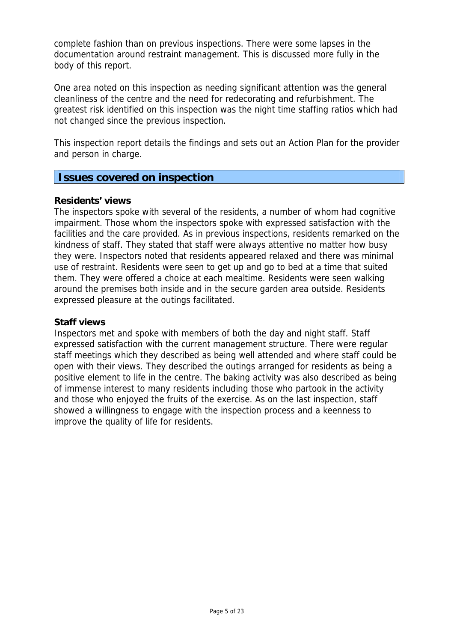complete fashion than on previous inspections. There were some lapses in the documentation around restraint management. This is discussed more fully in the body of this report.

One area noted on this inspection as needing significant attention was the general cleanliness of the centre and the need for redecorating and refurbishment. The greatest risk identified on this inspection was the night time staffing ratios which had not changed since the previous inspection.

This inspection report details the findings and sets out an Action Plan for the provider and person in charge.

## **Issues covered on inspection**

### **Residents' views**

The inspectors spoke with several of the residents, a number of whom had cognitive impairment. Those whom the inspectors spoke with expressed satisfaction with the facilities and the care provided. As in previous inspections, residents remarked on the kindness of staff. They stated that staff were always attentive no matter how busy they were. Inspectors noted that residents appeared relaxed and there was minimal use of restraint. Residents were seen to get up and go to bed at a time that suited them. They were offered a choice at each mealtime. Residents were seen walking around the premises both inside and in the secure garden area outside. Residents expressed pleasure at the outings facilitated.

### **Staff views**

Inspectors met and spoke with members of both the day and night staff. Staff expressed satisfaction with the current management structure. There were regular staff meetings which they described as being well attended and where staff could be open with their views. They described the outings arranged for residents as being a positive element to life in the centre. The baking activity was also described as being of immense interest to many residents including those who partook in the activity and those who enjoyed the fruits of the exercise. As on the last inspection, staff showed a willingness to engage with the inspection process and a keenness to improve the quality of life for residents.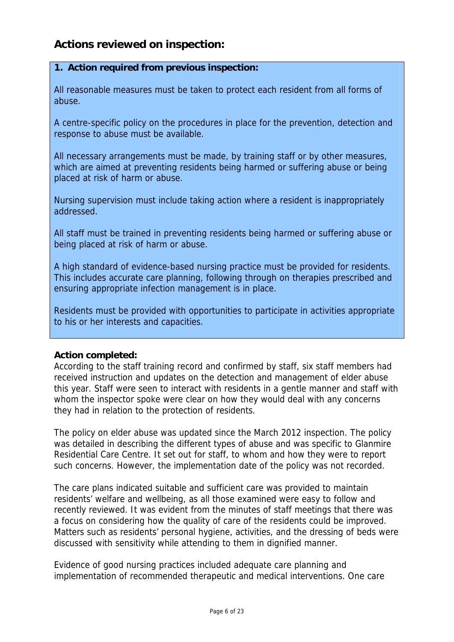# **Actions reviewed on inspection:**

## **1. Action required from previous inspection:**

All reasonable measures must be taken to protect each resident from all forms of abuse.

A centre-specific policy on the procedures in place for the prevention, detection and response to abuse must be available.

All necessary arrangements must be made, by training staff or by other measures, which are aimed at preventing residents being harmed or suffering abuse or being placed at risk of harm or abuse.

Nursing supervision must include taking action where a resident is inappropriately addressed.

All staff must be trained in preventing residents being harmed or suffering abuse or being placed at risk of harm or abuse.

A high standard of evidence-based nursing practice must be provided for residents. This includes accurate care planning, following through on therapies prescribed and ensuring appropriate infection management is in place.

Residents must be provided with opportunities to participate in activities appropriate to his or her interests and capacities.

## **Action completed:**

According to the staff training record and confirmed by staff, six staff members had received instruction and updates on the detection and management of elder abuse this year. Staff were seen to interact with residents in a gentle manner and staff with whom the inspector spoke were clear on how they would deal with any concerns they had in relation to the protection of residents.

The policy on elder abuse was updated since the March 2012 inspection. The policy was detailed in describing the different types of abuse and was specific to Glanmire Residential Care Centre. It set out for staff, to whom and how they were to report such concerns. However, the implementation date of the policy was not recorded.

The care plans indicated suitable and sufficient care was provided to maintain residents' welfare and wellbeing, as all those examined were easy to follow and recently reviewed. It was evident from the minutes of staff meetings that there was a focus on considering how the quality of care of the residents could be improved. Matters such as residents' personal hygiene, activities, and the dressing of beds were discussed with sensitivity while attending to them in dignified manner.

Evidence of good nursing practices included adequate care planning and implementation of recommended therapeutic and medical interventions. One care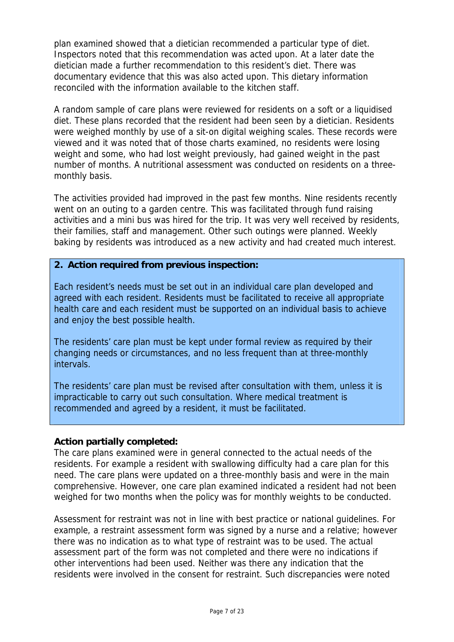plan examined showed that a dietician recommended a particular type of diet. Inspectors noted that this recommendation was acted upon. At a later date the dietician made a further recommendation to this resident's diet. There was documentary evidence that this was also acted upon. This dietary information reconciled with the information available to the kitchen staff.

A random sample of care plans were reviewed for residents on a soft or a liquidised diet. These plans recorded that the resident had been seen by a dietician. Residents were weighed monthly by use of a sit-on digital weighing scales. These records were viewed and it was noted that of those charts examined, no residents were losing weight and some, who had lost weight previously, had gained weight in the past number of months. A nutritional assessment was conducted on residents on a threemonthly basis.

The activities provided had improved in the past few months. Nine residents recently went on an outing to a garden centre. This was facilitated through fund raising activities and a mini bus was hired for the trip. It was very well received by residents, their families, staff and management. Other such outings were planned. Weekly baking by residents was introduced as a new activity and had created much interest.

## **2. Action required from previous inspection:**

Each resident's needs must be set out in an individual care plan developed and agreed with each resident. Residents must be facilitated to receive all appropriate health care and each resident must be supported on an individual basis to achieve and enjoy the best possible health.

The residents' care plan must be kept under formal review as required by their changing needs or circumstances, and no less frequent than at three-monthly intervals.

The residents' care plan must be revised after consultation with them, unless it is impracticable to carry out such consultation. Where medical treatment is recommended and agreed by a resident, it must be facilitated.

#### **Action partially completed:**

The care plans examined were in general connected to the actual needs of the residents. For example a resident with swallowing difficulty had a care plan for this need. The care plans were updated on a three-monthly basis and were in the main comprehensive. However, one care plan examined indicated a resident had not been weighed for two months when the policy was for monthly weights to be conducted.

Assessment for restraint was not in line with best practice or national guidelines. For example, a restraint assessment form was signed by a nurse and a relative; however there was no indication as to what type of restraint was to be used. The actual assessment part of the form was not completed and there were no indications if other interventions had been used. Neither was there any indication that the residents were involved in the consent for restraint. Such discrepancies were noted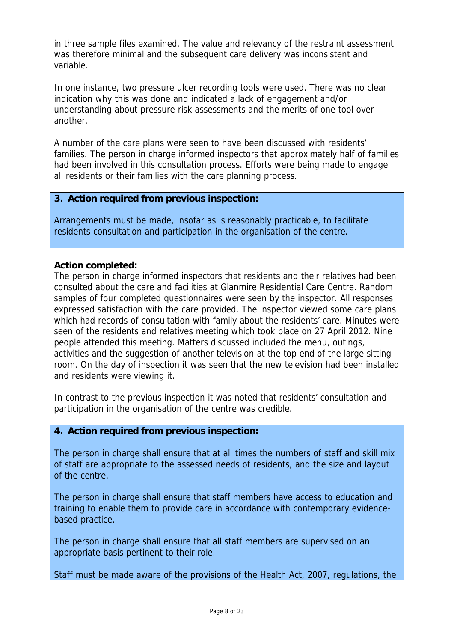in three sample files examined. The value and relevancy of the restraint assessment was therefore minimal and the subsequent care delivery was inconsistent and variable.

In one instance, two pressure ulcer recording tools were used. There was no clear indication why this was done and indicated a lack of engagement and/or understanding about pressure risk assessments and the merits of one tool over another.

A number of the care plans were seen to have been discussed with residents' families. The person in charge informed inspectors that approximately half of families had been involved in this consultation process. Efforts were being made to engage all residents or their families with the care planning process.

### **3. Action required from previous inspection:**

Arrangements must be made, insofar as is reasonably practicable, to facilitate residents consultation and participation in the organisation of the centre.

### **Action completed:**

The person in charge informed inspectors that residents and their relatives had been consulted about the care and facilities at Glanmire Residential Care Centre. Random samples of four completed questionnaires were seen by the inspector. All responses expressed satisfaction with the care provided. The inspector viewed some care plans which had records of consultation with family about the residents' care. Minutes were seen of the residents and relatives meeting which took place on 27 April 2012. Nine people attended this meeting. Matters discussed included the menu, outings, activities and the suggestion of another television at the top end of the large sitting room. On the day of inspection it was seen that the new television had been installed and residents were viewing it.

In contrast to the previous inspection it was noted that residents' consultation and participation in the organisation of the centre was credible.

## **4. Action required from previous inspection:**

The person in charge shall ensure that at all times the numbers of staff and skill mix of staff are appropriate to the assessed needs of residents, and the size and layout of the centre.

The person in charge shall ensure that staff members have access to education and training to enable them to provide care in accordance with contemporary evidencebased practice.

The person in charge shall ensure that all staff members are supervised on an appropriate basis pertinent to their role.

Staff must be made aware of the provisions of the Health Act, 2007, regulations, the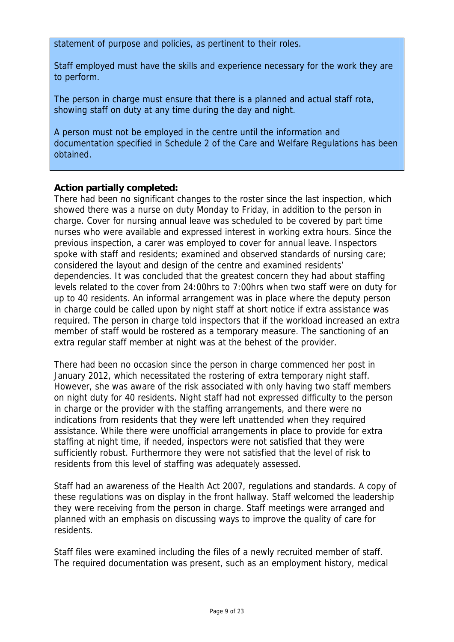statement of purpose and policies, as pertinent to their roles.

Staff employed must have the skills and experience necessary for the work they are to perform.

The person in charge must ensure that there is a planned and actual staff rota, showing staff on duty at any time during the day and night.

A person must not be employed in the centre until the information and documentation specified in Schedule 2 of the Care and Welfare Regulations has been obtained.

## **Action partially completed:**

There had been no significant changes to the roster since the last inspection, which showed there was a nurse on duty Monday to Friday, in addition to the person in charge. Cover for nursing annual leave was scheduled to be covered by part time nurses who were available and expressed interest in working extra hours. Since the previous inspection, a carer was employed to cover for annual leave. Inspectors spoke with staff and residents; examined and observed standards of nursing care; considered the layout and design of the centre and examined residents' dependencies. It was concluded that the greatest concern they had about staffing levels related to the cover from 24:00hrs to 7:00hrs when two staff were on duty for up to 40 residents. An informal arrangement was in place where the deputy person in charge could be called upon by night staff at short notice if extra assistance was required. The person in charge told inspectors that if the workload increased an extra member of staff would be rostered as a temporary measure. The sanctioning of an extra regular staff member at night was at the behest of the provider.

There had been no occasion since the person in charge commenced her post in January 2012, which necessitated the rostering of extra temporary night staff. However, she was aware of the risk associated with only having two staff members on night duty for 40 residents. Night staff had not expressed difficulty to the person in charge or the provider with the staffing arrangements, and there were no indications from residents that they were left unattended when they required assistance. While there were unofficial arrangements in place to provide for extra staffing at night time, if needed, inspectors were not satisfied that they were sufficiently robust. Furthermore they were not satisfied that the level of risk to residents from this level of staffing was adequately assessed.

Staff had an awareness of the Health Act 2007, regulations and standards. A copy of these regulations was on display in the front hallway. Staff welcomed the leadership they were receiving from the person in charge. Staff meetings were arranged and planned with an emphasis on discussing ways to improve the quality of care for residents.

Staff files were examined including the files of a newly recruited member of staff. The required documentation was present, such as an employment history, medical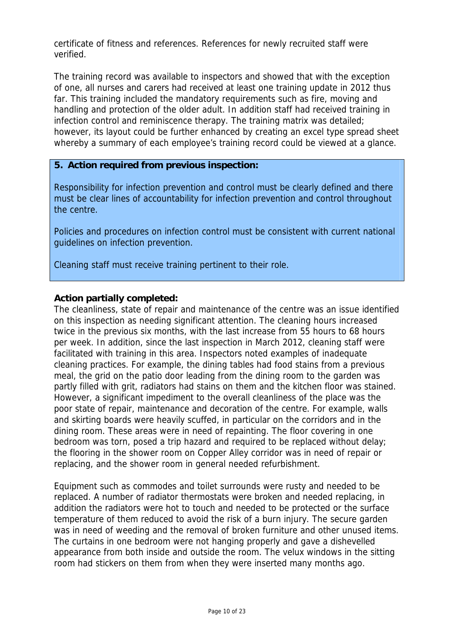certificate of fitness and references. References for newly recruited staff were verified.

The training record was available to inspectors and showed that with the exception of one, all nurses and carers had received at least one training update in 2012 thus far. This training included the mandatory requirements such as fire, moving and handling and protection of the older adult. In addition staff had received training in infection control and reminiscence therapy. The training matrix was detailed; however, its layout could be further enhanced by creating an excel type spread sheet whereby a summary of each employee's training record could be viewed at a glance.

### **5. Action required from previous inspection:**

Responsibility for infection prevention and control must be clearly defined and there must be clear lines of accountability for infection prevention and control throughout the centre.

Policies and procedures on infection control must be consistent with current national guidelines on infection prevention.

Cleaning staff must receive training pertinent to their role.

### **Action partially completed:**

The cleanliness, state of repair and maintenance of the centre was an issue identified on this inspection as needing significant attention. The cleaning hours increased twice in the previous six months, with the last increase from 55 hours to 68 hours per week. In addition, since the last inspection in March 2012, cleaning staff were facilitated with training in this area. Inspectors noted examples of inadequate cleaning practices. For example, the dining tables had food stains from a previous meal, the grid on the patio door leading from the dining room to the garden was partly filled with grit, radiators had stains on them and the kitchen floor was stained. However, a significant impediment to the overall cleanliness of the place was the poor state of repair, maintenance and decoration of the centre. For example, walls and skirting boards were heavily scuffed, in particular on the corridors and in the dining room. These areas were in need of repainting. The floor covering in one bedroom was torn, posed a trip hazard and required to be replaced without delay; the flooring in the shower room on Copper Alley corridor was in need of repair or replacing, and the shower room in general needed refurbishment.

Equipment such as commodes and toilet surrounds were rusty and needed to be replaced. A number of radiator thermostats were broken and needed replacing, in addition the radiators were hot to touch and needed to be protected or the surface temperature of them reduced to avoid the risk of a burn injury. The secure garden was in need of weeding and the removal of broken furniture and other unused items. The curtains in one bedroom were not hanging properly and gave a dishevelled appearance from both inside and outside the room. The velux windows in the sitting room had stickers on them from when they were inserted many months ago.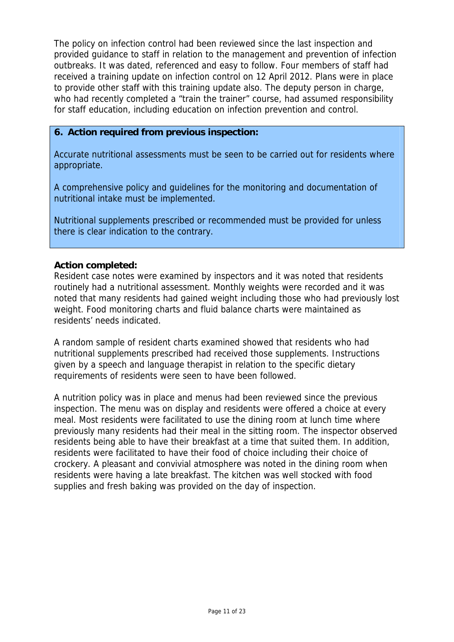The policy on infection control had been reviewed since the last inspection and provided guidance to staff in relation to the management and prevention of infection outbreaks. It was dated, referenced and easy to follow. Four members of staff had received a training update on infection control on 12 April 2012. Plans were in place to provide other staff with this training update also. The deputy person in charge, who had recently completed a "train the trainer" course, had assumed responsibility for staff education, including education on infection prevention and control.

### **6. Action required from previous inspection:**

Accurate nutritional assessments must be seen to be carried out for residents where appropriate.

A comprehensive policy and guidelines for the monitoring and documentation of nutritional intake must be implemented.

Nutritional supplements prescribed or recommended must be provided for unless there is clear indication to the contrary.

## **Action completed:**

Resident case notes were examined by inspectors and it was noted that residents routinely had a nutritional assessment. Monthly weights were recorded and it was noted that many residents had gained weight including those who had previously lost weight. Food monitoring charts and fluid balance charts were maintained as residents' needs indicated.

A random sample of resident charts examined showed that residents who had nutritional supplements prescribed had received those supplements. Instructions given by a speech and language therapist in relation to the specific dietary requirements of residents were seen to have been followed.

A nutrition policy was in place and menus had been reviewed since the previous inspection. The menu was on display and residents were offered a choice at every meal. Most residents were facilitated to use the dining room at lunch time where previously many residents had their meal in the sitting room. The inspector observed residents being able to have their breakfast at a time that suited them. In addition, residents were facilitated to have their food of choice including their choice of crockery. A pleasant and convivial atmosphere was noted in the dining room when residents were having a late breakfast. The kitchen was well stocked with food supplies and fresh baking was provided on the day of inspection.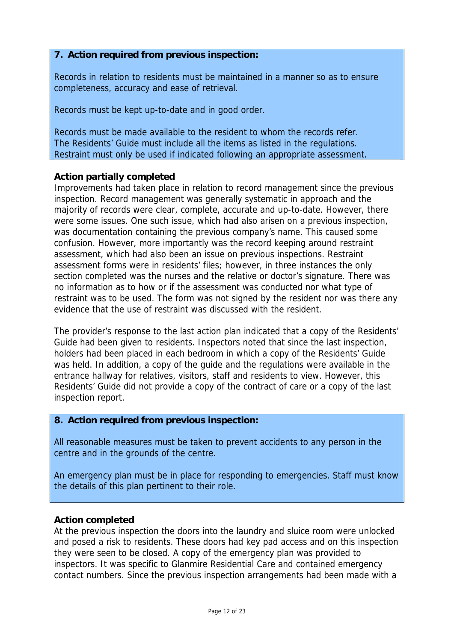# **7. Action required from previous inspection:**

Records in relation to residents must be maintained in a manner so as to ensure completeness, accuracy and ease of retrieval.

Records must be kept up-to-date and in good order.

Records must be made available to the resident to whom the records refer. The Residents' Guide must include all the items as listed in the regulations. Restraint must only be used if indicated following an appropriate assessment.

## **Action partially completed**

Improvements had taken place in relation to record management since the previous inspection. Record management was generally systematic in approach and the majority of records were clear, complete, accurate and up-to-date. However, there were some issues. One such issue, which had also arisen on a previous inspection, was documentation containing the previous company's name. This caused some confusion. However, more importantly was the record keeping around restraint assessment, which had also been an issue on previous inspections. Restraint assessment forms were in residents' files; however, in three instances the only section completed was the nurses and the relative or doctor's signature. There was no information as to how or if the assessment was conducted nor what type of restraint was to be used. The form was not signed by the resident nor was there any evidence that the use of restraint was discussed with the resident.

The provider's response to the last action plan indicated that a copy of the Residents' Guide had been given to residents. Inspectors noted that since the last inspection, holders had been placed in each bedroom in which a copy of the Residents' Guide was held. In addition, a copy of the guide and the regulations were available in the entrance hallway for relatives, visitors, staff and residents to view. However, this Residents' Guide did not provide a copy of the contract of care or a copy of the last inspection report.

## **8. Action required from previous inspection:**

All reasonable measures must be taken to prevent accidents to any person in the centre and in the grounds of the centre.

An emergency plan must be in place for responding to emergencies. Staff must know the details of this plan pertinent to their role.

# **Action completed**

At the previous inspection the doors into the laundry and sluice room were unlocked and posed a risk to residents. These doors had key pad access and on this inspection they were seen to be closed. A copy of the emergency plan was provided to inspectors. It was specific to Glanmire Residential Care and contained emergency contact numbers. Since the previous inspection arrangements had been made with a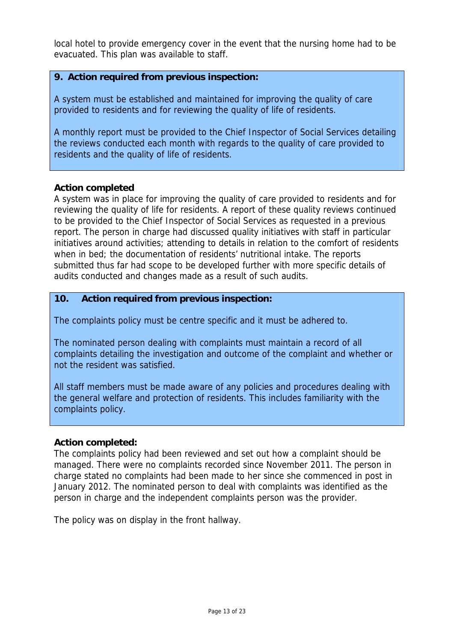local hotel to provide emergency cover in the event that the nursing home had to be evacuated. This plan was available to staff.

## **9. Action required from previous inspection:**

A system must be established and maintained for improving the quality of care provided to residents and for reviewing the quality of life of residents.

A monthly report must be provided to the Chief Inspector of Social Services detailing the reviews conducted each month with regards to the quality of care provided to residents and the quality of life of residents.

### **Action completed**

A system was in place for improving the quality of care provided to residents and for reviewing the quality of life for residents. A report of these quality reviews continued to be provided to the Chief Inspector of Social Services as requested in a previous report. The person in charge had discussed quality initiatives with staff in particular initiatives around activities; attending to details in relation to the comfort of residents when in bed; the documentation of residents' nutritional intake. The reports submitted thus far had scope to be developed further with more specific details of audits conducted and changes made as a result of such audits.

### **10. Action required from previous inspection:**

The complaints policy must be centre specific and it must be adhered to.

The nominated person dealing with complaints must maintain a record of all complaints detailing the investigation and outcome of the complaint and whether or not the resident was satisfied.

All staff members must be made aware of any policies and procedures dealing with the general welfare and protection of residents. This includes familiarity with the complaints policy.

#### **Action completed:**

The complaints policy had been reviewed and set out how a complaint should be managed. There were no complaints recorded since November 2011. The person in charge stated no complaints had been made to her since she commenced in post in January 2012. The nominated person to deal with complaints was identified as the person in charge and the independent complaints person was the provider.

The policy was on display in the front hallway.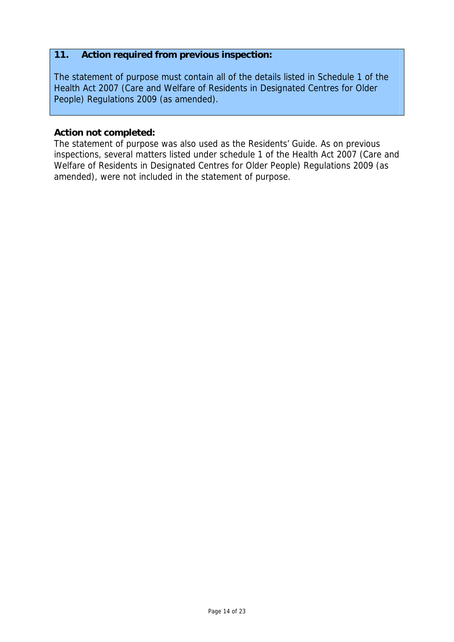# **11. Action required from previous inspection:**

The statement of purpose must contain all of the details listed in Schedule 1 of the Health Act 2007 (Care and Welfare of Residents in Designated Centres for Older People) Regulations 2009 (as amended).

## **Action not completed:**

The statement of purpose was also used as the Residents' Guide. As on previous inspections, several matters listed under schedule 1 of the Health Act 2007 (Care and Welfare of Residents in Designated Centres for Older People) Regulations 2009 (as amended), were not included in the statement of purpose.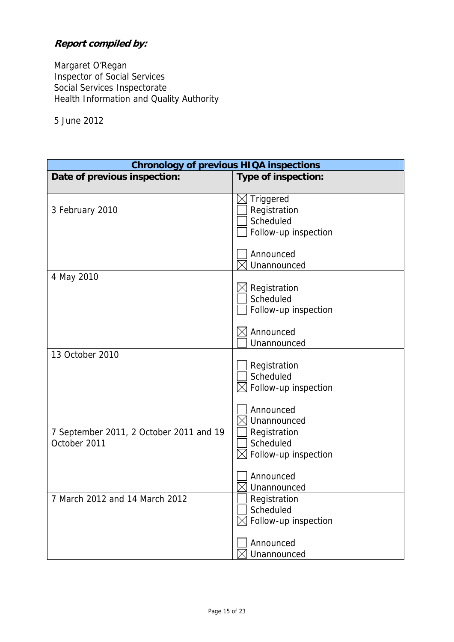# **Report compiled by:**

Margaret O'Regan Inspector of Social Services Social Services Inspectorate Health Information and Quality Authority

5 June 2012

| <b>Chronology of previous HIQA inspections</b>          |                                                                |  |  |
|---------------------------------------------------------|----------------------------------------------------------------|--|--|
| Date of previous inspection:                            | Type of inspection:                                            |  |  |
| 3 February 2010                                         | Triggered<br>Registration<br>Scheduled<br>Follow-up inspection |  |  |
|                                                         | Announced<br>Unannounced                                       |  |  |
| 4 May 2010                                              | Registration<br>Scheduled<br>Follow-up inspection              |  |  |
|                                                         | Announced<br>Unannounced                                       |  |  |
| 13 October 2010                                         | Registration<br>Scheduled<br>Follow-up inspection              |  |  |
|                                                         | Announced<br>Unannounced                                       |  |  |
| 7 September 2011, 2 October 2011 and 19<br>October 2011 | Registration<br>Scheduled<br>Follow-up inspection              |  |  |
|                                                         | Announced<br>Unannounced                                       |  |  |
| 7 March 2012 and 14 March 2012                          | ∫ Registration<br>Scheduled<br>Follow-up inspection            |  |  |
|                                                         | Announced<br>Unannounced                                       |  |  |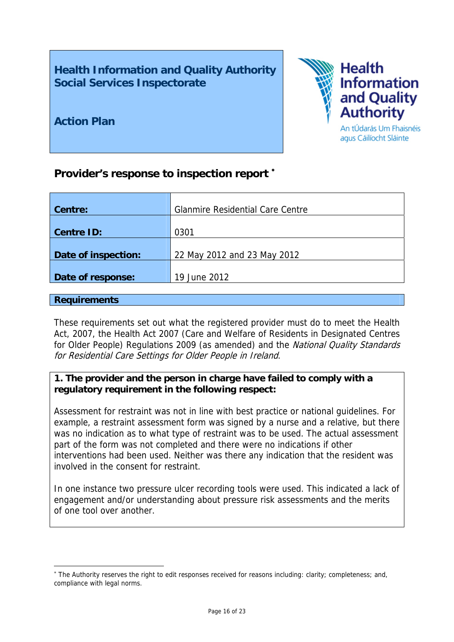**Health Information and Quality Authority Social Services Inspectorate** 



**Action Plan** 

# **Provider's response to inspection report**

| <b>Glanmire Residential Care Centre</b> |
|-----------------------------------------|
|                                         |
| 0301                                    |
|                                         |
| 22 May 2012 and 23 May 2012             |
|                                         |
| 19 June 2012                            |
|                                         |

## **Requirements**

1

These requirements set out what the registered provider must do to meet the Health Act, 2007, the Health Act 2007 (Care and Welfare of Residents in Designated Centres for Older People) Regulations 2009 (as amended) and the National Quality Standards for Residential Care Settings for Older People in Ireland.

# **1. The provider and the person in charge have failed to comply with a regulatory requirement in the following respect:**

Assessment for restraint was not in line with best practice or national guidelines. For example, a restraint assessment form was signed by a nurse and a relative, but there was no indication as to what type of restraint was to be used. The actual assessment part of the form was not completed and there were no indications if other interventions had been used. Neither was there any indication that the resident was involved in the consent for restraint.

In one instance two pressure ulcer recording tools were used. This indicated a lack of engagement and/or understanding about pressure risk assessments and the merits of one tool over another.

<sup>\*</sup> The Authority reserves the right to edit responses received for reasons including: clarity; completeness; and, compliance with legal norms.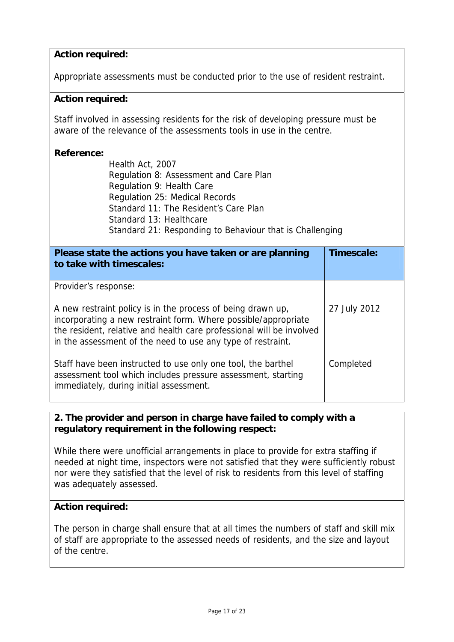# **Action required:**

Appropriate assessments must be conducted prior to the use of resident restraint.

## **Action required:**

Staff involved in assessing residents for the risk of developing pressure must be aware of the relevance of the assessments tools in use in the centre.

### **Reference:**

Health Act, 2007 Regulation 8: Assessment and Care Plan Regulation 9: Health Care Regulation 25: Medical Records Standard 11: The Resident's Care Plan Standard 13: Healthcare Standard 21: Responding to Behaviour that is Challenging

| Please state the actions you have taken or are planning<br>to take with timescales:                                                                                                                                                                                  | Timescale:   |
|----------------------------------------------------------------------------------------------------------------------------------------------------------------------------------------------------------------------------------------------------------------------|--------------|
| Provider's response:                                                                                                                                                                                                                                                 |              |
| A new restraint policy is in the process of being drawn up,<br>incorporating a new restraint form. Where possible/appropriate<br>the resident, relative and health care professional will be involved<br>in the assessment of the need to use any type of restraint. | 27 July 2012 |
| Staff have been instructed to use only one tool, the barthel<br>assessment tool which includes pressure assessment, starting<br>immediately, during initial assessment.                                                                                              | Completed    |

## **2. The provider and person in charge have failed to comply with a regulatory requirement in the following respect:**

While there were unofficial arrangements in place to provide for extra staffing if needed at night time, inspectors were not satisfied that they were sufficiently robust nor were they satisfied that the level of risk to residents from this level of staffing was adequately assessed.

## **Action required:**

The person in charge shall ensure that at all times the numbers of staff and skill mix of staff are appropriate to the assessed needs of residents, and the size and layout of the centre.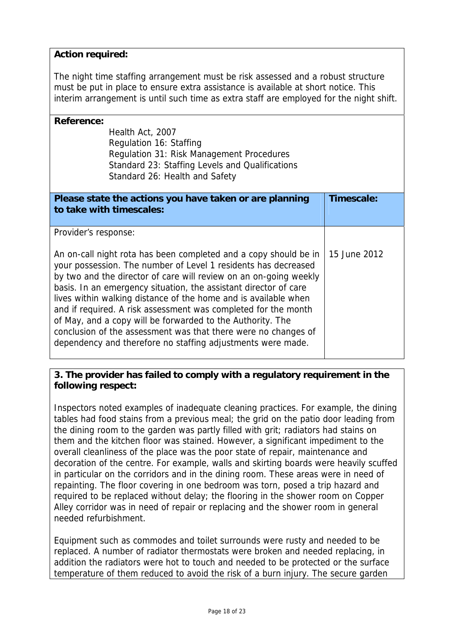## **Action required:**

The night time staffing arrangement must be risk assessed and a robust structure must be put in place to ensure extra assistance is available at short notice. This interim arrangement is until such time as extra staff are employed for the night shift.

| <b>Reference:</b><br>Health Act, 2007<br>Regulation 16: Staffing<br>Regulation 31: Risk Management Procedures<br>Standard 23: Staffing Levels and Qualifications<br>Standard 26: Health and Safety                                                                                                                                                                                                                                                                                                                                                                                                                                      |              |
|-----------------------------------------------------------------------------------------------------------------------------------------------------------------------------------------------------------------------------------------------------------------------------------------------------------------------------------------------------------------------------------------------------------------------------------------------------------------------------------------------------------------------------------------------------------------------------------------------------------------------------------------|--------------|
| Please state the actions you have taken or are planning<br>to take with timescales:                                                                                                                                                                                                                                                                                                                                                                                                                                                                                                                                                     | Timescale:   |
| Provider's response:<br>An on-call night rota has been completed and a copy should be in<br>your possession. The number of Level 1 residents has decreased<br>by two and the director of care will review on an on-going weekly<br>basis. In an emergency situation, the assistant director of care<br>lives within walking distance of the home and is available when<br>and if required. A risk assessment was completed for the month<br>of May, and a copy will be forwarded to the Authority. The<br>conclusion of the assessment was that there were no changes of<br>dependency and therefore no staffing adjustments were made. | 15 June 2012 |

## **3. The provider has failed to comply with a regulatory requirement in the following respect:**

Inspectors noted examples of inadequate cleaning practices. For example, the dining tables had food stains from a previous meal; the grid on the patio door leading from the dining room to the garden was partly filled with grit; radiators had stains on them and the kitchen floor was stained. However, a significant impediment to the overall cleanliness of the place was the poor state of repair, maintenance and decoration of the centre. For example, walls and skirting boards were heavily scuffed in particular on the corridors and in the dining room. These areas were in need of repainting. The floor covering in one bedroom was torn, posed a trip hazard and required to be replaced without delay; the flooring in the shower room on Copper Alley corridor was in need of repair or replacing and the shower room in general needed refurbishment.

Equipment such as commodes and toilet surrounds were rusty and needed to be replaced. A number of radiator thermostats were broken and needed replacing, in addition the radiators were hot to touch and needed to be protected or the surface temperature of them reduced to avoid the risk of a burn injury. The secure garden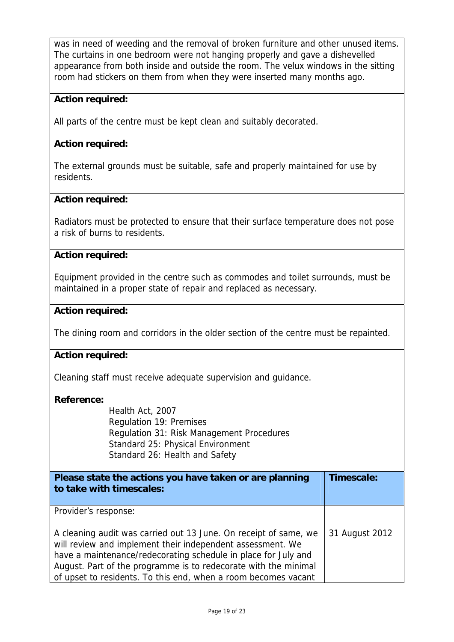was in need of weeding and the removal of broken furniture and other unused items. The curtains in one bedroom were not hanging properly and gave a dishevelled appearance from both inside and outside the room. The velux windows in the sitting room had stickers on them from when they were inserted many months ago.

# **Action required:**

All parts of the centre must be kept clean and suitably decorated.

## **Action required:**

The external grounds must be suitable, safe and properly maintained for use by residents.

## **Action required:**

Radiators must be protected to ensure that their surface temperature does not pose a risk of burns to residents.

## **Action required:**

Equipment provided in the centre such as commodes and toilet surrounds, must be maintained in a proper state of repair and replaced as necessary.

## **Action required:**

The dining room and corridors in the older section of the centre must be repainted.

## **Action required:**

Cleaning staff must receive adequate supervision and guidance.

#### **Reference:**

Health Act, 2007 Regulation 19: Premises Regulation 31: Risk Management Procedures Standard 25: Physical Environment Standard 26: Health and Safety

| Please state the actions you have taken or are planning<br>to take with timescales:                                                                                                                                                                                                                                                   | Timescale:     |
|---------------------------------------------------------------------------------------------------------------------------------------------------------------------------------------------------------------------------------------------------------------------------------------------------------------------------------------|----------------|
| Provider's response:                                                                                                                                                                                                                                                                                                                  |                |
| A cleaning audit was carried out 13 June. On receipt of same, we<br>will review and implement their independent assessment. We<br>have a maintenance/redecorating schedule in place for July and<br>August. Part of the programme is to redecorate with the minimal<br>of upset to residents. To this end, when a room becomes vacant | 31 August 2012 |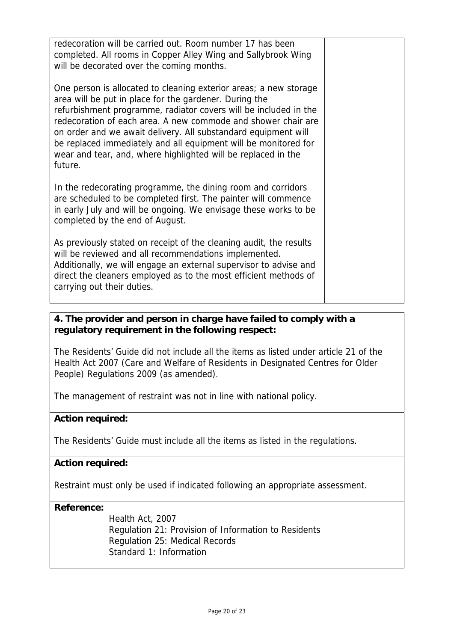| redecoration will be carried out. Room number 17 has been<br>completed. All rooms in Copper Alley Wing and Sallybrook Wing<br>will be decorated over the coming months.                                                                                                                                                                                                                                                                                                           |  |
|-----------------------------------------------------------------------------------------------------------------------------------------------------------------------------------------------------------------------------------------------------------------------------------------------------------------------------------------------------------------------------------------------------------------------------------------------------------------------------------|--|
| One person is allocated to cleaning exterior areas; a new storage<br>area will be put in place for the gardener. During the<br>refurbishment programme, radiator covers will be included in the<br>redecoration of each area. A new commode and shower chair are<br>on order and we await delivery. All substandard equipment will<br>be replaced immediately and all equipment will be monitored for<br>wear and tear, and, where highlighted will be replaced in the<br>future. |  |
| In the redecorating programme, the dining room and corridors<br>are scheduled to be completed first. The painter will commence<br>in early July and will be ongoing. We envisage these works to be<br>completed by the end of August.                                                                                                                                                                                                                                             |  |
| As previously stated on receipt of the cleaning audit, the results<br>will be reviewed and all recommendations implemented.<br>Additionally, we will engage an external supervisor to advise and<br>direct the cleaners employed as to the most efficient methods of<br>carrying out their duties.                                                                                                                                                                                |  |

# **4. The provider and person in charge have failed to comply with a regulatory requirement in the following respect:**

The Residents' Guide did not include all the items as listed under article 21 of the Health Act 2007 (Care and Welfare of Residents in Designated Centres for Older People) Regulations 2009 (as amended).

The management of restraint was not in line with national policy.

# **Action required:**

The Residents' Guide must include all the items as listed in the regulations.

# **Action required:**

Restraint must only be used if indicated following an appropriate assessment.

## **Reference:**

Health Act, 2007 Regulation 21: Provision of Information to Residents Regulation 25: Medical Records Standard 1: Information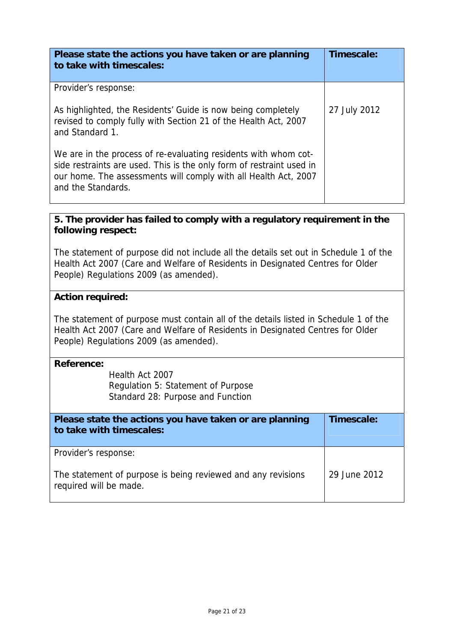| Please state the actions you have taken or are planning<br>to take with timescales:                                                                                                                                              | Timescale:   |
|----------------------------------------------------------------------------------------------------------------------------------------------------------------------------------------------------------------------------------|--------------|
| Provider's response:                                                                                                                                                                                                             |              |
| As highlighted, the Residents' Guide is now being completely<br>revised to comply fully with Section 21 of the Health Act, 2007<br>and Standard 1.                                                                               | 27 July 2012 |
| We are in the process of re-evaluating residents with whom cot-<br>side restraints are used. This is the only form of restraint used in<br>our home. The assessments will comply with all Health Act, 2007<br>and the Standards. |              |

# **5. The provider has failed to comply with a regulatory requirement in the following respect:**

The statement of purpose did not include all the details set out in Schedule 1 of the Health Act 2007 (Care and Welfare of Residents in Designated Centres for Older People) Regulations 2009 (as amended).

## **Action required:**

The statement of purpose must contain all of the details listed in Schedule 1 of the Health Act 2007 (Care and Welfare of Residents in Designated Centres for Older People) Regulations 2009 (as amended).

#### **Reference:**

Health Act 2007 Regulation 5: Statement of Purpose Standard 28: Purpose and Function

| Please state the actions you have taken or are planning<br>to take with timescales:    | Timescale:   |
|----------------------------------------------------------------------------------------|--------------|
| Provider's response:                                                                   |              |
| The statement of purpose is being reviewed and any revisions<br>required will be made. | 29 June 2012 |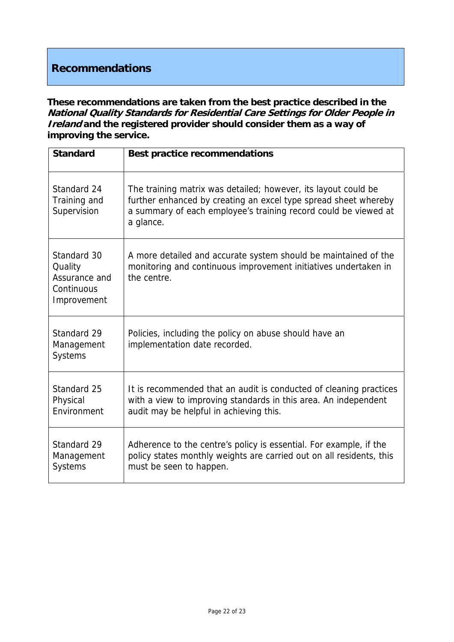# **Recommendations**

**These recommendations are taken from the best practice described in the National Quality Standards for Residential Care Settings for Older People in Ireland and the registered provider should consider them as a way of improving the service.**

| <b>Standard</b>                                                      | <b>Best practice recommendations</b>                                                                                                                                                                              |
|----------------------------------------------------------------------|-------------------------------------------------------------------------------------------------------------------------------------------------------------------------------------------------------------------|
| Standard 24<br>Training and<br>Supervision                           | The training matrix was detailed; however, its layout could be<br>further enhanced by creating an excel type spread sheet whereby<br>a summary of each employee's training record could be viewed at<br>a glance. |
| Standard 30<br>Quality<br>Assurance and<br>Continuous<br>Improvement | A more detailed and accurate system should be maintained of the<br>monitoring and continuous improvement initiatives undertaken in<br>the centre.                                                                 |
| Standard 29<br>Management<br>Systems                                 | Policies, including the policy on abuse should have an<br>implementation date recorded.                                                                                                                           |
| Standard 25<br>Physical<br>Environment                               | It is recommended that an audit is conducted of cleaning practices<br>with a view to improving standards in this area. An independent<br>audit may be helpful in achieving this.                                  |
| Standard 29<br>Management<br><b>Systems</b>                          | Adherence to the centre's policy is essential. For example, if the<br>policy states monthly weights are carried out on all residents, this<br>must be seen to happen.                                             |